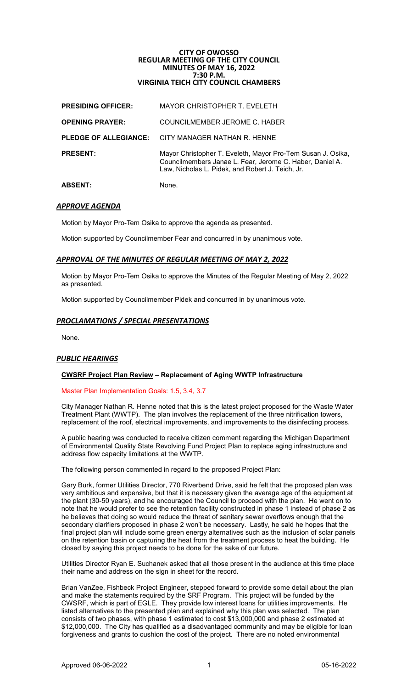# **CITY OF OWOSSO REGULAR MEETING OF THE CITY COUNCIL MINUTES OF MAY 16, 2022 7:30 P.M. VIRGINIA TEICH CITY COUNCIL CHAMBERS**

| <b>ABSENT:</b>            | <b>None</b>                                                                                                                                                                 |
|---------------------------|-----------------------------------------------------------------------------------------------------------------------------------------------------------------------------|
| <b>PRESENT:</b>           | Mayor Christopher T. Eveleth, Mayor Pro-Tem Susan J. Osika,<br>Councilmembers Janae L. Fear, Jerome C. Haber, Daniel A.<br>Law, Nicholas L. Pidek, and Robert J. Teich, Jr. |
|                           | <b>PLEDGE OF ALLEGIANCE:</b> CITY MANAGER NATHAN R. HENNE                                                                                                                   |
| <b>OPENING PRAYER:</b>    | COUNCILMEMBER JEROME C. HABER                                                                                                                                               |
| <b>PRESIDING OFFICER:</b> | <b>MAYOR CHRISTOPHER T. EVELETH</b>                                                                                                                                         |

# *APPROVE AGENDA*

Motion by Mayor Pro-Tem Osika to approve the agenda as presented.

Motion supported by Councilmember Fear and concurred in by unanimous vote.

# *APPROVAL OF THE MINUTES OF REGULAR MEETING OF MAY 2, 2022*

Motion by Mayor Pro-Tem Osika to approve the Minutes of the Regular Meeting of May 2, 2022 as presented.

Motion supported by Councilmember Pidek and concurred in by unanimous vote.

# *PROCLAMATIONS / SPECIAL PRESENTATIONS*

None.

### *PUBLIC HEARINGS*

# **CWSRF Project Plan Review – Replacement of Aging WWTP Infrastructure**

### Master Plan Implementation Goals: 1.5, 3.4, 3.7

City Manager Nathan R. Henne noted that this is the latest project proposed for the Waste Water Treatment Plant (WWTP). The plan involves the replacement of the three nitrification towers, replacement of the roof, electrical improvements, and improvements to the disinfecting process.

A public hearing was conducted to receive citizen comment regarding the Michigan Department of Environmental Quality State Revolving Fund Project Plan to replace aging infrastructure and address flow capacity limitations at the WWTP.

The following person commented in regard to the proposed Project Plan:

Gary Burk, former Utilities Director, 770 Riverbend Drive, said he felt that the proposed plan was very ambitious and expensive, but that it is necessary given the average age of the equipment at the plant (30-50 years), and he encouraged the Council to proceed with the plan. He went on to note that he would prefer to see the retention facility constructed in phase 1 instead of phase 2 as he believes that doing so would reduce the threat of sanitary sewer overflows enough that the secondary clarifiers proposed in phase 2 won't be necessary. Lastly, he said he hopes that the final project plan will include some green energy alternatives such as the inclusion of solar panels on the retention basin or capturing the heat from the treatment process to heat the building. He closed by saying this project needs to be done for the sake of our future.

Utilities Director Ryan E. Suchanek asked that all those present in the audience at this time place their name and address on the sign in sheet for the record.

Brian VanZee, Fishbeck Project Engineer, stepped forward to provide some detail about the plan and make the statements required by the SRF Program. This project will be funded by the CWSRF, which is part of EGLE. They provide low interest loans for utilities improvements. He listed alternatives to the presented plan and explained why this plan was selected. The plan consists of two phases, with phase 1 estimated to cost \$13,000,000 and phase 2 estimated at \$12,000,000. The City has qualified as a disadvantaged community and may be eligible for loan forgiveness and grants to cushion the cost of the project. There are no noted environmental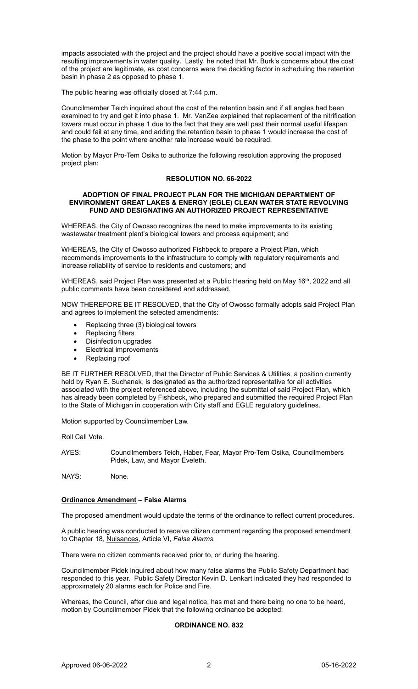impacts associated with the project and the project should have a positive social impact with the resulting improvements in water quality. Lastly, he noted that Mr. Burk's concerns about the cost of the project are legitimate, as cost concerns were the deciding factor in scheduling the retention basin in phase 2 as opposed to phase 1.

The public hearing was officially closed at 7:44 p.m.

Councilmember Teich inquired about the cost of the retention basin and if all angles had been examined to try and get it into phase 1. Mr. VanZee explained that replacement of the nitrification towers must occur in phase 1 due to the fact that they are well past their normal useful lifespan and could fail at any time, and adding the retention basin to phase 1 would increase the cost of the phase to the point where another rate increase would be required.

Motion by Mayor Pro-Tem Osika to authorize the following resolution approving the proposed project plan:

# **RESOLUTION NO. 66-2022**

#### **ADOPTION OF FINAL PROJECT PLAN FOR THE MICHIGAN DEPARTMENT OF ENVIRONMENT GREAT LAKES & ENERGY (EGLE) CLEAN WATER STATE REVOLVING FUND AND DESIGNATING AN AUTHORIZED PROJECT REPRESENTATIVE**

WHEREAS, the City of Owosso recognizes the need to make improvements to its existing wastewater treatment plant's biological towers and process equipment; and

WHEREAS, the City of Owosso authorized Fishbeck to prepare a Project Plan, which recommends improvements to the infrastructure to comply with regulatory requirements and increase reliability of service to residents and customers; and

WHEREAS, said Project Plan was presented at a Public Hearing held on May 16<sup>th</sup>, 2022 and all public comments have been considered and addressed.

NOW THEREFORE BE IT RESOLVED, that the City of Owosso formally adopts said Project Plan and agrees to implement the selected amendments:

- Replacing three (3) biological towers
- Replacing filters
- Disinfection upgrades
- Electrical improvements
- Replacing roof

BE IT FURTHER RESOLVED, that the Director of Public Services & Utilities, a position currently held by Ryan E. Suchanek, is designated as the authorized representative for all activities associated with the project referenced above, including the submittal of said Project Plan, which has already been completed by Fishbeck, who prepared and submitted the required Project Plan to the State of Michigan in cooperation with City staff and EGLE regulatory guidelines.

Motion supported by Councilmember Law.

Roll Call Vote.

AYES: Councilmembers Teich, Haber, Fear, Mayor Pro-Tem Osika, Councilmembers Pidek, Law, and Mayor Eveleth.

NAYS: None.

# **Ordinance Amendment – False Alarms**

The proposed amendment would update the terms of the ordinance to reflect current procedures.

A public hearing was conducted to receive citizen comment regarding the proposed amendment to Chapter 18, Nuisances, Article VI, *False Alarms.*

There were no citizen comments received prior to, or during the hearing.

Councilmember Pidek inquired about how many false alarms the Public Safety Department had responded to this year. Public Safety Director Kevin D. Lenkart indicated they had responded to approximately 20 alarms each for Police and Fire.

Whereas, the Council, after due and legal notice, has met and there being no one to be heard, motion by Councilmember Pidek that the following ordinance be adopted:

# **ORDINANCE NO. 832**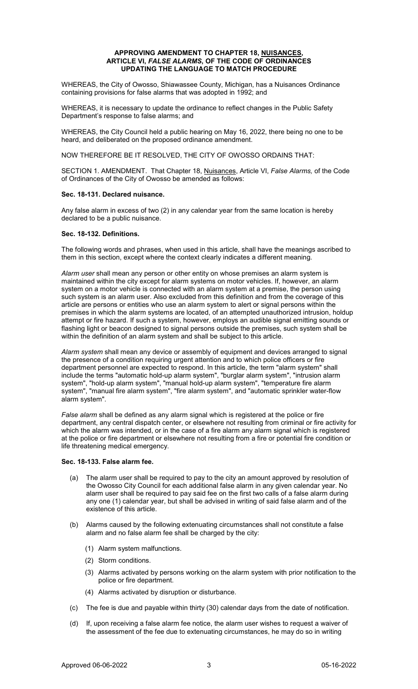### **APPROVING AMENDMENT TO CHAPTER 18, NUISANCES, ARTICLE VI,** *FALSE ALARMS***, OF THE CODE OF ORDINANCES UPDATING THE LANGUAGE TO MATCH PROCEDURE**

WHEREAS, the City of Owosso, Shiawassee County, Michigan, has a Nuisances Ordinance containing provisions for false alarms that was adopted in 1992; and

WHEREAS, it is necessary to update the ordinance to reflect changes in the Public Safety Department's response to false alarms; and

WHEREAS, the City Council held a public hearing on May 16, 2022, there being no one to be heard, and deliberated on the proposed ordinance amendment.

NOW THEREFORE BE IT RESOLVED, THE CITY OF OWOSSO ORDAINS THAT:

SECTION 1. AMENDMENT. That Chapter 18, Nuisances, Article VI, *False Alarms,* of the Code of Ordinances of the City of Owosso be amended as follows:

# **Sec. 18-131. Declared nuisance.**

Any false alarm in excess of two (2) in any calendar year from the same location is hereby declared to be a public nuisance.

# **Sec. 18-132. Definitions.**

The following words and phrases, when used in this article, shall have the meanings ascribed to them in this section, except where the context clearly indicates a different meaning.

*Alarm user* shall mean any person or other entity on whose premises an alarm system is maintained within the city except for alarm systems on motor vehicles. If, however, an alarm system on a motor vehicle is connected with an alarm system at a premise, the person using such system is an alarm user. Also excluded from this definition and from the coverage of this article are persons or entities who use an alarm system to alert or signal persons within the premises in which the alarm systems are located, of an attempted unauthorized intrusion, holdup attempt or fire hazard. If such a system, however, employs an audible signal emitting sounds or flashing light or beacon designed to signal persons outside the premises, such system shall be within the definition of an alarm system and shall be subject to this article.

*Alarm system* shall mean any device or assembly of equipment and devices arranged to signal the presence of a condition requiring urgent attention and to which police officers or fire department personnel are expected to respond. In this article, the term "alarm system" shall include the terms "automatic hold-up alarm system", "burglar alarm system", "intrusion alarm system", "hold-up alarm system", "manual hold-up alarm system", "temperature fire alarm system", "manual fire alarm system", "fire alarm system", and "automatic sprinkler water-flow alarm system".

*False alarm* shall be defined as any alarm signal which is registered at the police or fire department, any central dispatch center, or elsewhere not resulting from criminal or fire activity for which the alarm was intended, or in the case of a fire alarm any alarm signal which is registered at the police or fire department or elsewhere not resulting from a fire or potential fire condition or life threatening medical emergency.

### **Sec. 18-133. False alarm fee.**

- (a) The alarm user shall be required to pay to the city an amount approved by resolution of the Owosso City Council for each additional false alarm in any given calendar year. No alarm user shall be required to pay said fee on the first two calls of a false alarm during any one (1) calendar year, but shall be advised in writing of said false alarm and of the existence of this article.
- (b) Alarms caused by the following extenuating circumstances shall not constitute a false alarm and no false alarm fee shall be charged by the city:
	- (1) Alarm system malfunctions.
	- (2) Storm conditions.
	- (3) Alarms activated by persons working on the alarm system with prior notification to the police or fire department.
	- (4) Alarms activated by disruption or disturbance.
- (c) The fee is due and payable within thirty (30) calendar days from the date of notification.
- (d) If, upon receiving a false alarm fee notice, the alarm user wishes to request a waiver of the assessment of the fee due to extenuating circumstances, he may do so in writing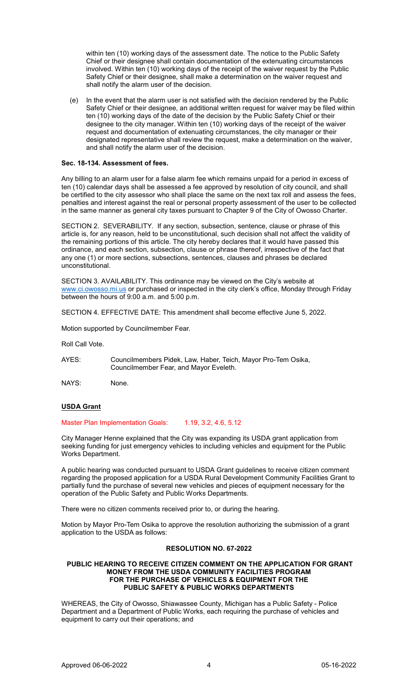within ten (10) working days of the assessment date. The notice to the Public Safety Chief or their designee shall contain documentation of the extenuating circumstances involved. Within ten (10) working days of the receipt of the waiver request by the Public Safety Chief or their designee, shall make a determination on the waiver request and shall notify the alarm user of the decision.

(e) In the event that the alarm user is not satisfied with the decision rendered by the Public Safety Chief or their designee, an additional written request for waiver may be filed within ten (10) working days of the date of the decision by the Public Safety Chief or their designee to the city manager. Within ten (10) working days of the receipt of the waiver request and documentation of extenuating circumstances, the city manager or their designated representative shall review the request, make a determination on the waiver, and shall notify the alarm user of the decision.

# **Sec. 18-134. Assessment of fees.**

Any billing to an alarm user for a false alarm fee which remains unpaid for a period in excess of ten (10) calendar days shall be assessed a fee approved by resolution of city council, and shall be certified to the city assessor who shall place the same on the next tax roll and assess the fees, penalties and interest against the real or personal property assessment of the user to be collected in the same manner as general city taxes pursuant to Chapter 9 of the City of Owosso Charter.

SECTION 2. SEVERABILITY. If any section, subsection, sentence, clause or phrase of this article is, for any reason, held to be unconstitutional, such decision shall not affect the validity of the remaining portions of this article. The city hereby declares that it would have passed this ordinance, and each section, subsection, clause or phrase thereof, irrespective of the fact that any one (1) or more sections, subsections, sentences, clauses and phrases be declared unconstitutional.

SECTION 3. AVAILABILITY. This ordinance may be viewed on the City's website at [www.ci.owosso.mi.us](http://www.ci.owosso.mi.us/) or purchased or inspected in the city clerk's office, Monday through Friday between the hours of 9:00 a.m. and 5:00 p.m.

SECTION 4. EFFECTIVE DATE: This amendment shall become effective June 5, 2022.

Motion supported by Councilmember Fear.

Roll Call Vote.

- AYES: Councilmembers Pidek, Law, Haber, Teich, Mayor Pro-Tem Osika, Councilmember Fear, and Mayor Eveleth.
- NAYS: None.

# **USDA Grant**

Master Plan Implementation Goals: 1.19, 3.2, 4.6, 5.12

City Manager Henne explained that the City was expanding its USDA grant application from seeking funding for just emergency vehicles to including vehicles and equipment for the Public Works Department.

A public hearing was conducted pursuant to USDA Grant guidelines to receive citizen comment regarding the proposed application for a USDA Rural Development Community Facilities Grant to partially fund the purchase of several new vehicles and pieces of equipment necessary for the operation of the Public Safety and Public Works Departments.

There were no citizen comments received prior to, or during the hearing.

Motion by Mayor Pro-Tem Osika to approve the resolution authorizing the submission of a grant application to the USDA as follows:

# **RESOLUTION NO. 67-2022**

# **PUBLIC HEARING TO RECEIVE CITIZEN COMMENT ON THE APPLICATION FOR GRANT MONEY FROM THE USDA COMMUNITY FACILITIES PROGRAM FOR THE PURCHASE OF VEHICLES & EQUIPMENT FOR THE PUBLIC SAFETY & PUBLIC WORKS DEPARTMENTS**

WHEREAS, the City of Owosso, Shiawassee County, Michigan has a Public Safety - Police Department and a Department of Public Works, each requiring the purchase of vehicles and equipment to carry out their operations; and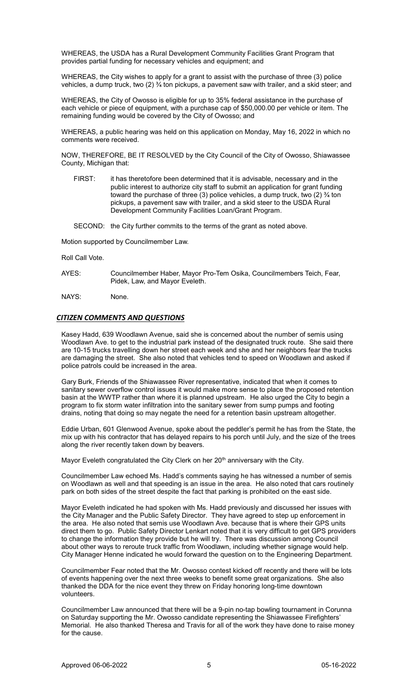WHEREAS, the USDA has a Rural Development Community Facilities Grant Program that provides partial funding for necessary vehicles and equipment; and

WHEREAS, the City wishes to apply for a grant to assist with the purchase of three (3) police vehicles, a dump truck, two  $(2)$  % ton pickups, a pavement saw with trailer, and a skid steer; and

WHEREAS, the City of Owosso is eligible for up to 35% federal assistance in the purchase of each vehicle or piece of equipment, with a purchase cap of \$50,000.00 per vehicle or item. The remaining funding would be covered by the City of Owosso; and

WHEREAS, a public hearing was held on this application on Monday, May 16, 2022 in which no comments were received.

NOW, THEREFORE, BE IT RESOLVED by the City Council of the City of Owosso, Shiawassee County, Michigan that:

- FIRST: it has theretofore been determined that it is advisable, necessary and in the public interest to authorize city staff to submit an application for grant funding toward the purchase of three (3) police vehicles, a dump truck, two (2)  $\frac{3}{4}$  ton pickups, a pavement saw with trailer, and a skid steer to the USDA Rural Development Community Facilities Loan/Grant Program.
- SECOND: the City further commits to the terms of the grant as noted above.

Motion supported by Councilmember Law.

Roll Call Vote.

- AYES: Councilmember Haber, Mayor Pro-Tem Osika, Councilmembers Teich, Fear, Pidek, Law, and Mayor Eveleth.
- NAYS: None.

# *CITIZEN COMMENTS AND QUESTIONS*

Kasey Hadd, 639 Woodlawn Avenue, said she is concerned about the number of semis using Woodlawn Ave. to get to the industrial park instead of the designated truck route. She said there are 10-15 trucks travelling down her street each week and she and her neighbors fear the trucks are damaging the street. She also noted that vehicles tend to speed on Woodlawn and asked if police patrols could be increased in the area.

Gary Burk, Friends of the Shiawassee River representative, indicated that when it comes to sanitary sewer overflow control issues it would make more sense to place the proposed retention basin at the WWTP rather than where it is planned upstream. He also urged the City to begin a program to fix storm water infiltration into the sanitary sewer from sump pumps and footing drains, noting that doing so may negate the need for a retention basin upstream altogether.

Eddie Urban, 601 Glenwood Avenue, spoke about the peddler's permit he has from the State, the mix up with his contractor that has delayed repairs to his porch until July, and the size of the trees along the river recently taken down by beavers.

Mayor Eveleth congratulated the City Clerk on her 20<sup>th</sup> anniversary with the City.

Councilmember Law echoed Ms. Hadd's comments saying he has witnessed a number of semis on Woodlawn as well and that speeding is an issue in the area. He also noted that cars routinely park on both sides of the street despite the fact that parking is prohibited on the east side.

Mayor Eveleth indicated he had spoken with Ms. Hadd previously and discussed her issues with the City Manager and the Public Safety Director. They have agreed to step up enforcement in the area. He also noted that semis use Woodlawn Ave. because that is where their GPS units direct them to go. Public Safety Director Lenkart noted that it is very difficult to get GPS providers to change the information they provide but he will try. There was discussion among Council about other ways to reroute truck traffic from Woodlawn, including whether signage would help. City Manager Henne indicated he would forward the question on to the Engineering Department.

Councilmember Fear noted that the Mr. Owosso contest kicked off recently and there will be lots of events happening over the next three weeks to benefit some great organizations. She also thanked the DDA for the nice event they threw on Friday honoring long-time downtown volunteers.

Councilmember Law announced that there will be a 9-pin no-tap bowling tournament in Corunna on Saturday supporting the Mr. Owosso candidate representing the Shiawassee Firefighters' Memorial. He also thanked Theresa and Travis for all of the work they have done to raise money for the cause.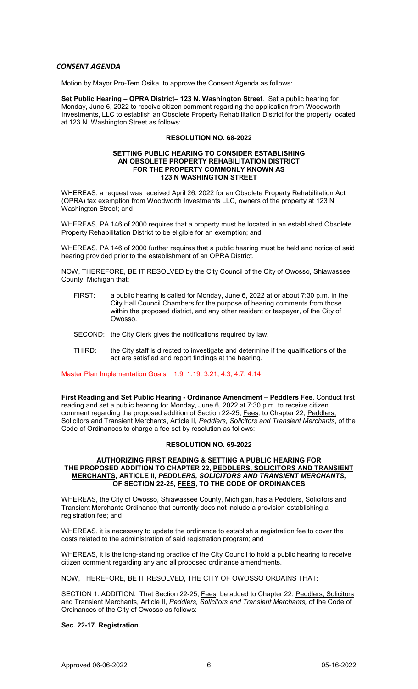# *CONSENT AGENDA*

Motion by Mayor Pro-Tem Osika to approve the Consent Agenda as follows:

**Set Public Hearing – OPRA District– 123 N. Washington Street**. Set a public hearing for Monday, June 6, 2022 to receive citizen comment regarding the application from Woodworth Investments, LLC to establish an Obsolete Property Rehabilitation District for the property located at 123 N. Washington Street as follows:

# **RESOLUTION NO. 68-2022**

#### **SETTING PUBLIC HEARING TO CONSIDER ESTABLISHING AN OBSOLETE PROPERTY REHABILITATION DISTRICT FOR THE PROPERTY COMMONLY KNOWN AS 123 N WASHINGTON STREET**

WHEREAS, a request was received April 26, 2022 for an Obsolete Property Rehabilitation Act (OPRA) tax exemption from Woodworth Investments LLC, owners of the property at 123 N Washington Street; and

WHEREAS, PA 146 of 2000 requires that a property must be located in an established Obsolete Property Rehabilitation District to be eligible for an exemption; and

WHEREAS, PA 146 of 2000 further requires that a public hearing must be held and notice of said hearing provided prior to the establishment of an OPRA District.

NOW, THEREFORE, BE IT RESOLVED by the City Council of the City of Owosso, Shiawassee County, Michigan that:

- FIRST: a public hearing is called for Monday, June 6, 2022 at or about 7:30 p.m. in the City Hall Council Chambers for the purpose of hearing comments from those within the proposed district, and any other resident or taxpayer, of the City of Owosso.
- SECOND: the City Clerk gives the notifications required by law.
- THIRD: the City staff is directed to investigate and determine if the qualifications of the act are satisfied and report findings at the hearing.

Master Plan Implementation Goals: 1.9, 1.19, 3.21, 4.3, 4.7, 4.14

**First Reading and Set Public Hearing - Ordinance Amendment – Peddlers Fee**. Conduct first reading and set a public hearing for Monday, June 6, 2022 at 7:30 p.m. to receive citizen comment regarding the proposed addition of Section 22-25, Fees*,* to Chapter 22, Peddlers, Solicitors and Transient Merchants, Article II, *Peddlers, Solicitors and Transient Merchants*, of the Code of Ordinances to charge a fee set by resolution as follows:

#### **RESOLUTION NO. 69-2022**

### **AUTHORIZING FIRST READING & SETTING A PUBLIC HEARING FOR THE PROPOSED ADDITION TO CHAPTER 22, PEDDLERS, SOLICITORS AND TRANSIENT MERCHANTS, ARTICLE II,** *PEDDLERS, SOLICITORS AND TRANSIENT MERCHANTS,*  **OF SECTION 22-25, FEES, TO THE CODE OF ORDINANCES**

WHEREAS, the City of Owosso, Shiawassee County, Michigan, has a Peddlers, Solicitors and Transient Merchants Ordinance that currently does not include a provision establishing a registration fee; and

WHEREAS, it is necessary to update the ordinance to establish a registration fee to cover the costs related to the administration of said registration program; and

WHEREAS, it is the long-standing practice of the City Council to hold a public hearing to receive citizen comment regarding any and all proposed ordinance amendments.

NOW, THEREFORE, BE IT RESOLVED, THE CITY OF OWOSSO ORDAINS THAT:

SECTION 1. ADDITION. That Section 22-25, Fees, be added to Chapter 22, Peddlers, Solicitors and Transient Merchants, Article II, *Peddlers, Solicitors and Transient Merchants,* of the Code of Ordinances of the City of Owosso as follows:

**Sec. 22-17. Registration.**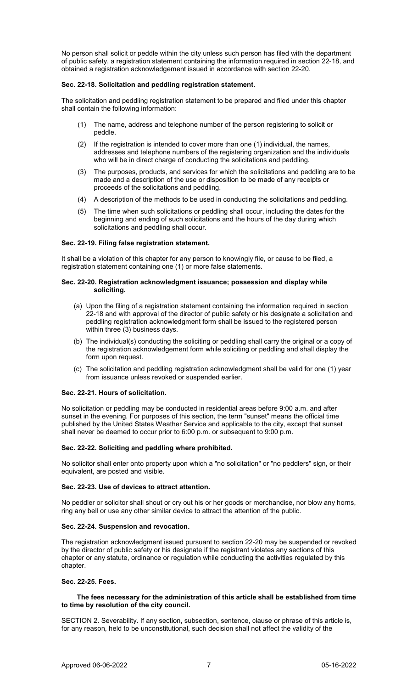No person shall solicit or peddle within the city unless such person has filed with the department of public safety, a registration statement containing the information required in section 22-18, and obtained a registration acknowledgement issued in accordance with section 22-20.

# **Sec. 22-18. Solicitation and peddling registration statement.**

The solicitation and peddling registration statement to be prepared and filed under this chapter shall contain the following information:

- (1) The name, address and telephone number of the person registering to solicit or peddle.
- (2) If the registration is intended to cover more than one (1) individual, the names, addresses and telephone numbers of the registering organization and the individuals who will be in direct charge of conducting the solicitations and peddling.
- (3) The purposes, products, and services for which the solicitations and peddling are to be made and a description of the use or disposition to be made of any receipts or proceeds of the solicitations and peddling.
- (4) A description of the methods to be used in conducting the solicitations and peddling.
- (5) The time when such solicitations or peddling shall occur, including the dates for the beginning and ending of such solicitations and the hours of the day during which solicitations and peddling shall occur.

# **Sec. 22-19. Filing false registration statement.**

It shall be a violation of this chapter for any person to knowingly file, or cause to be filed, a registration statement containing one (1) or more false statements.

### **Sec. 22-20. Registration acknowledgment issuance; possession and display while soliciting.**

- (a) Upon the filing of a registration statement containing the information required in section 22-18 and with approval of the director of public safety or his designate a solicitation and peddling registration acknowledgment form shall be issued to the registered person within three (3) business days.
- (b) The individual(s) conducting the soliciting or peddling shall carry the original or a copy of the registration acknowledgement form while soliciting or peddling and shall display the form upon request.
- (c) The solicitation and peddling registration acknowledgment shall be valid for one (1) year from issuance unless revoked or suspended earlier.

# **Sec. 22-21. Hours of solicitation.**

No solicitation or peddling may be conducted in residential areas before 9:00 a.m. and after sunset in the evening. For purposes of this section, the term "sunset" means the official time published by the United States Weather Service and applicable to the city, except that sunset shall never be deemed to occur prior to 6:00 p.m. or subsequent to 9:00 p.m.

# **Sec. 22-22. Soliciting and peddling where prohibited.**

No solicitor shall enter onto property upon which a "no solicitation" or "no peddlers" sign, or their equivalent, are posted and visible.

### **Sec. 22-23. Use of devices to attract attention.**

No peddler or solicitor shall shout or cry out his or her goods or merchandise, nor blow any horns, ring any bell or use any other similar device to attract the attention of the public.

### **Sec. 22-24. Suspension and revocation.**

The registration acknowledgment issued pursuant to section 22-20 may be suspended or revoked by the director of public safety or his designate if the registrant violates any sections of this chapter or any statute, ordinance or regulation while conducting the activities regulated by this chapter.

### **Sec. 22-25. Fees.**

# **The fees necessary for the administration of this article shall be established from time to time by resolution of the city council.**

SECTION 2. Severability. If any section, subsection, sentence, clause or phrase of this article is, for any reason, held to be unconstitutional, such decision shall not affect the validity of the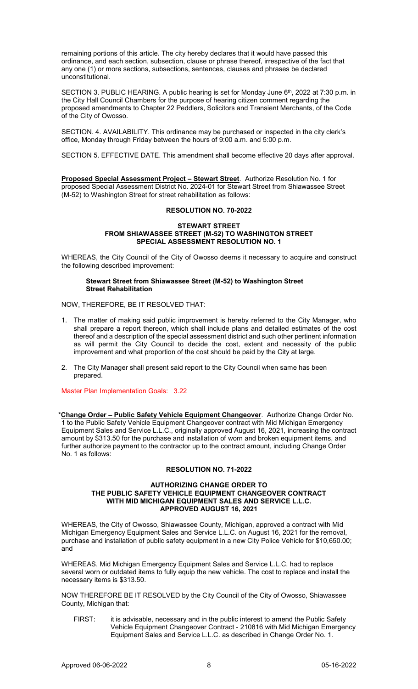remaining portions of this article. The city hereby declares that it would have passed this ordinance, and each section, subsection, clause or phrase thereof, irrespective of the fact that any one (1) or more sections, subsections, sentences, clauses and phrases be declared unconstitutional.

SECTION 3. PUBLIC HEARING. A public hearing is set for Monday June 6<sup>th</sup>, 2022 at 7:30 p.m. in the City Hall Council Chambers for the purpose of hearing citizen comment regarding the proposed amendments to Chapter 22 Peddlers, Solicitors and Transient Merchants, of the Code of the City of Owosso.

SECTION. 4. AVAILABILITY. This ordinance may be purchased or inspected in the city clerk's office, Monday through Friday between the hours of 9:00 a.m. and 5:00 p.m.

SECTION 5. EFFECTIVE DATE. This amendment shall become effective 20 days after approval.

**Proposed Special Assessment Project – Stewart Street**. Authorize Resolution No. 1 for proposed Special Assessment District No. 2024-01 for Stewart Street from Shiawassee Street (M-52) to Washington Street for street rehabilitation as follows:

### **RESOLUTION NO. 70-2022**

#### **STEWART STREET FROM SHIAWASSEE STREET (M-52) TO WASHINGTON STREET SPECIAL ASSESSMENT RESOLUTION NO. 1**

WHEREAS, the City Council of the City of Owosso deems it necessary to acquire and construct the following described improvement:

### **Stewart Street from Shiawassee Street (M-52) to Washington Street Street Rehabilitation**

NOW, THEREFORE, BE IT RESOLVED THAT:

- 1. The matter of making said public improvement is hereby referred to the City Manager, who shall prepare a report thereon, which shall include plans and detailed estimates of the cost thereof and a description of the special assessment district and such other pertinent information as will permit the City Council to decide the cost, extent and necessity of the public improvement and what proportion of the cost should be paid by the City at large.
- 2. The City Manager shall present said report to the City Council when same has been prepared.

Master Plan Implementation Goals: 3.22

\***Change Order – Public Safety Vehicle Equipment Changeover**. Authorize Change Order No. 1 to the Public Safety Vehicle Equipment Changeover contract with Mid Michigan Emergency Equipment Sales and Service L.L.C., originally approved August 16, 2021, increasing the contract amount by \$313.50 for the purchase and installation of worn and broken equipment items, and further authorize payment to the contractor up to the contract amount, including Change Order No. 1 as follows:

# **RESOLUTION NO. 71-2022**

### **AUTHORIZING CHANGE ORDER TO THE PUBLIC SAFETY VEHICLE EQUIPMENT CHANGEOVER CONTRACT WITH MID MICHIGAN EQUIPMENT SALES AND SERVICE L.L.C. APPROVED AUGUST 16, 2021**

WHEREAS, the City of Owosso, Shiawassee County, Michigan, approved a contract with Mid Michigan Emergency Equipment Sales and Service L.L.C. on August 16, 2021 for the removal, purchase and installation of public safety equipment in a new City Police Vehicle for \$10,650.00; and

WHEREAS, Mid Michigan Emergency Equipment Sales and Service L.L.C. had to replace several worn or outdated items to fully equip the new vehicle. The cost to replace and install the necessary items is \$313.50.

NOW THEREFORE BE IT RESOLVED by the City Council of the City of Owosso, Shiawassee County, Michigan that:

FIRST: it is advisable, necessary and in the public interest to amend the Public Safety Vehicle Equipment Changeover Contract - 210816 with Mid Michigan Emergency Equipment Sales and Service L.L.C. as described in Change Order No. 1.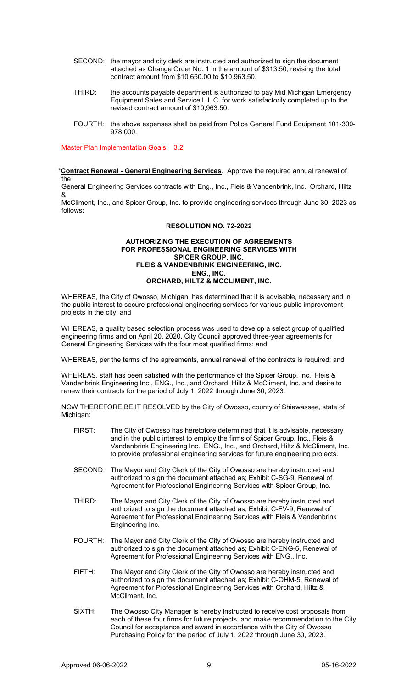- SECOND: the mayor and city clerk are instructed and authorized to sign the document attached as Change Order No. 1 in the amount of \$313.50; revising the total contract amount from \$10,650.00 to \$10,963.50.
- THIRD: the accounts payable department is authorized to pay Mid Michigan Emergency Equipment Sales and Service L.L.C. for work satisfactorily completed up to the revised contract amount of \$10,963.50.
- FOURTH: the above expenses shall be paid from Police General Fund Equipment 101-300- 978.000.

Master Plan Implementation Goals: 3.2

\***Contract Renewal - General Engineering Services**. Approve the required annual renewal of the

General Engineering Services contracts with Eng., Inc., Fleis & Vandenbrink, Inc., Orchard, Hiltz &

McCliment, Inc., and Spicer Group, Inc. to provide engineering services through June 30, 2023 as follows:

# **RESOLUTION NO. 72-2022**

### **AUTHORIZING THE EXECUTION OF AGREEMENTS FOR PROFESSIONAL ENGINEERING SERVICES WITH SPICER GROUP, INC. FLEIS & VANDENBRINK ENGINEERING, INC. ENG., INC. ORCHARD, HILTZ & MCCLIMENT, INC.**

WHEREAS, the City of Owosso, Michigan, has determined that it is advisable, necessary and in the public interest to secure professional engineering services for various public improvement projects in the city; and

WHEREAS, a quality based selection process was used to develop a select group of qualified engineering firms and on April 20, 2020, City Council approved three-year agreements for General Engineering Services with the four most qualified firms; and

WHEREAS, per the terms of the agreements, annual renewal of the contracts is required; and

WHEREAS, staff has been satisfied with the performance of the Spicer Group, Inc., Fleis & Vandenbrink Engineering Inc., ENG., Inc., and Orchard, Hiltz & McCliment, Inc. and desire to renew their contracts for the period of July 1, 2022 through June 30, 2023.

NOW THEREFORE BE IT RESOLVED by the City of Owosso, county of Shiawassee, state of Michigan:

- FIRST: The City of Owosso has heretofore determined that it is advisable, necessary and in the public interest to employ the firms of Spicer Group, Inc., Fleis & Vandenbrink Engineering Inc., ENG., Inc., and Orchard, Hiltz & McCliment, Inc. to provide professional engineering services for future engineering projects.
- SECOND: The Mayor and City Clerk of the City of Owosso are hereby instructed and authorized to sign the document attached as; Exhibit C-SG-9, Renewal of Agreement for Professional Engineering Services with Spicer Group, Inc.
- THIRD: The Mayor and City Clerk of the City of Owosso are hereby instructed and authorized to sign the document attached as; Exhibit C-FV-9, Renewal of Agreement for Professional Engineering Services with Fleis & Vandenbrink Engineering Inc.
- FOURTH: The Mayor and City Clerk of the City of Owosso are hereby instructed and authorized to sign the document attached as; Exhibit C-ENG-6, Renewal of Agreement for Professional Engineering Services with ENG., Inc.
- FIFTH: The Mayor and City Clerk of the City of Owosso are hereby instructed and authorized to sign the document attached as; Exhibit C-OHM-5, Renewal of Agreement for Professional Engineering Services with Orchard, Hiltz & McCliment, Inc.
- SIXTH: The Owosso City Manager is hereby instructed to receive cost proposals from each of these four firms for future projects, and make recommendation to the City Council for acceptance and award in accordance with the City of Owosso Purchasing Policy for the period of July 1, 2022 through June 30, 2023.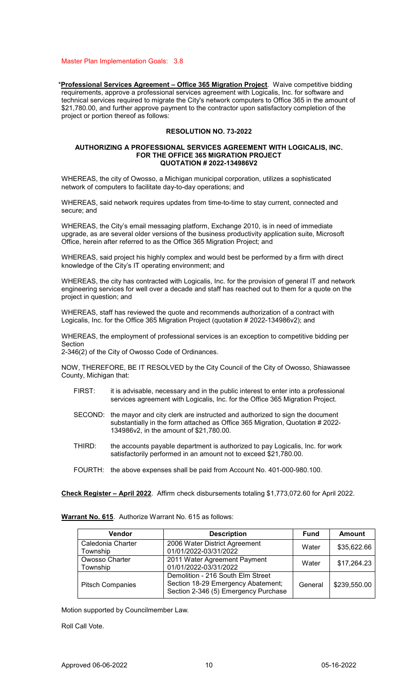Master Plan Implementation Goals: 3.8

\***Professional Services Agreement – Office 365 Migration Project**. Waive competitive bidding requirements, approve a professional services agreement with Logicalis, Inc. for software and technical services required to migrate the City's network computers to Office 365 in the amount of \$21,780.00, and further approve payment to the contractor upon satisfactory completion of the project or portion thereof as follows:

# **RESOLUTION NO. 73-2022**

#### **AUTHORIZING A PROFESSIONAL SERVICES AGREEMENT WITH LOGICALIS, INC. FOR THE OFFICE 365 MIGRATION PROJECT QUOTATION # 2022-134986V2**

WHEREAS, the city of Owosso, a Michigan municipal corporation, utilizes a sophisticated network of computers to facilitate day-to-day operations; and

WHEREAS, said network requires updates from time-to-time to stay current, connected and secure; and

WHEREAS, the City's email messaging platform, Exchange 2010, is in need of immediate upgrade, as are several older versions of the business productivity application suite, Microsoft Office, herein after referred to as the Office 365 Migration Project; and

WHEREAS, said project his highly complex and would best be performed by a firm with direct knowledge of the City's IT operating environment; and

WHEREAS, the city has contracted with Logicalis, Inc. for the provision of general IT and network engineering services for well over a decade and staff has reached out to them for a quote on the project in question; and

WHEREAS, staff has reviewed the quote and recommends authorization of a contract with Logicalis, Inc. for the Office 365 Migration Project (quotation # 2022-134986v2); and

WHEREAS, the employment of professional services is an exception to competitive bidding per Section

2-346(2) of the City of Owosso Code of Ordinances.

NOW, THEREFORE, BE IT RESOLVED by the City Council of the City of Owosso, Shiawassee County, Michigan that:

- FIRST: it is advisable, necessary and in the public interest to enter into a professional services agreement with Logicalis, Inc. for the Office 365 Migration Project.
- SECOND: the mayor and city clerk are instructed and authorized to sign the document substantially in the form attached as Office 365 Migration, Quotation # 2022- 134986v2, in the amount of \$21,780.00.
- THIRD: the accounts payable department is authorized to pay Logicalis, Inc. for work satisfactorily performed in an amount not to exceed \$21,780.00.
- FOURTH: the above expenses shall be paid from Account No. 401-000-980.100.

**Check Register – April 2022**. Affirm check disbursements totaling \$1,773,072.60 for April 2022.

**Warrant No. 615**. Authorize Warrant No. 615 as follows:

| Vendor                        | <b>Description</b>                                                                                              | <b>Fund</b> | <b>Amount</b> |
|-------------------------------|-----------------------------------------------------------------------------------------------------------------|-------------|---------------|
| Caledonia Charter<br>Township | 2006 Water District Agreement<br>01/01/2022-03/31/2022                                                          | Water       | \$35,622.66   |
| Owosso Charter<br>Township    | 2011 Water Agreement Payment<br>01/01/2022-03/31/2022                                                           | Water       | \$17,264.23   |
| <b>Pitsch Companies</b>       | Demolition - 216 South Elm Street<br>Section 18-29 Emergency Abatement;<br>Section 2-346 (5) Emergency Purchase | General     | \$239,550.00  |

Motion supported by Councilmember Law.

Roll Call Vote.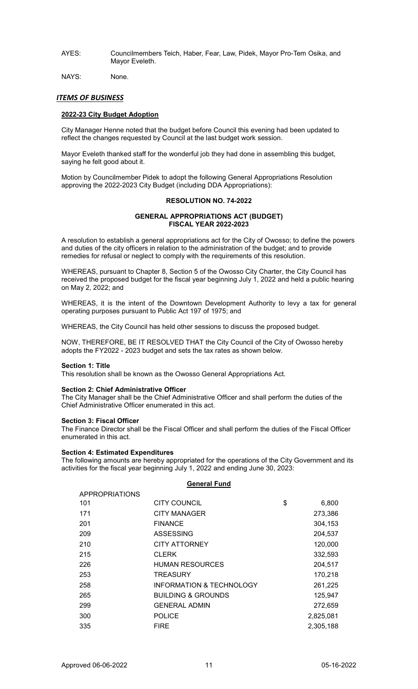AYES: Councilmembers Teich, Haber, Fear, Law, Pidek, Mayor Pro-Tem Osika, and Mayor Eveleth.

NAYS: None.

# *ITEMS OF BUSINESS*

# **2022-23 City Budget Adoption**

City Manager Henne noted that the budget before Council this evening had been updated to reflect the changes requested by Council at the last budget work session.

Mayor Eveleth thanked staff for the wonderful job they had done in assembling this budget, saying he felt good about it.

Motion by Councilmember Pidek to adopt the following General Appropriations Resolution approving the 2022-2023 City Budget (including DDA Appropriations):

# **RESOLUTION NO. 74-2022**

# **GENERAL APPROPRIATIONS ACT (BUDGET) FISCAL YEAR 2022-2023**

A resolution to establish a general appropriations act for the City of Owosso; to define the powers and duties of the city officers in relation to the administration of the budget; and to provide remedies for refusal or neglect to comply with the requirements of this resolution.

WHEREAS, pursuant to Chapter 8, Section 5 of the Owosso City Charter, the City Council has received the proposed budget for the fiscal year beginning July 1, 2022 and held a public hearing on May 2, 2022; and

WHEREAS, it is the intent of the Downtown Development Authority to levy a tax for general operating purposes pursuant to Public Act 197 of 1975; and

WHEREAS, the City Council has held other sessions to discuss the proposed budget.

NOW, THEREFORE, BE IT RESOLVED THAT the City Council of the City of Owosso hereby adopts the FY2022 - 2023 budget and sets the tax rates as shown below.

### **Section 1: Title**

This resolution shall be known as the Owosso General Appropriations Act.

### **Section 2: Chief Administrative Officer**

The City Manager shall be the Chief Administrative Officer and shall perform the duties of the Chief Administrative Officer enumerated in this act.

### **Section 3: Fiscal Officer**

The Finance Director shall be the Fiscal Officer and shall perform the duties of the Fiscal Officer enumerated in this act.

### **Section 4: Estimated Expenditures**

The following amounts are hereby appropriated for the operations of the City Government and its activities for the fiscal year beginning July 1, 2022 and ending June 30, 2023:

# **General Fund**

| <b>CITY COUNCIL</b>                 | \$<br>6,800 |
|-------------------------------------|-------------|
| <b>CITY MANAGER</b>                 | 273,386     |
| <b>FINANCE</b>                      | 304,153     |
| <b>ASSESSING</b>                    | 204,537     |
| <b>CITY ATTORNEY</b>                | 120,000     |
| <b>CLERK</b>                        | 332,593     |
| <b>HUMAN RESOURCES</b>              | 204,517     |
| <b>TREASURY</b>                     | 170,218     |
| <b>INFORMATION &amp; TECHNOLOGY</b> | 261,225     |
| <b>BUILDING &amp; GROUNDS</b>       | 125,947     |
| <b>GENERAL ADMIN</b>                | 272,659     |
| <b>POLICE</b>                       | 2,825,081   |
| <b>FIRE</b>                         | 2,305,188   |
|                                     |             |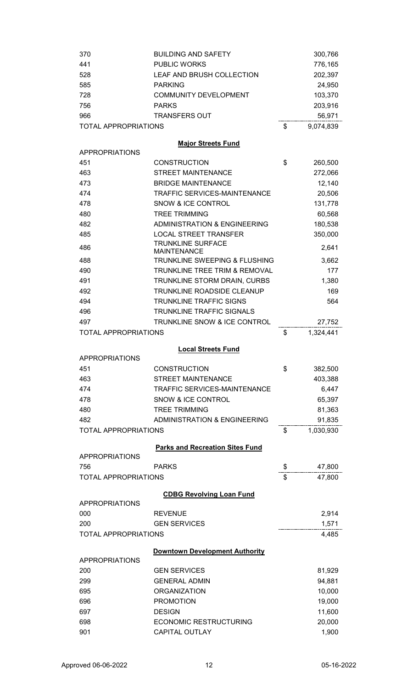| 370                         | <b>BUILDING AND SAFETY</b>                     | 300,766          |
|-----------------------------|------------------------------------------------|------------------|
| 441                         | <b>PUBLIC WORKS</b>                            | 776,165          |
| 528                         | LEAF AND BRUSH COLLECTION                      | 202,397          |
| 585                         | <b>PARKING</b>                                 | 24,950           |
| 728                         | <b>COMMUNITY DEVELOPMENT</b>                   | 103,370          |
| 756                         | <b>PARKS</b>                                   | 203,916          |
| 966                         | <b>TRANSFERS OUT</b>                           | 56,971           |
| <b>TOTAL APPROPRIATIONS</b> |                                                | \$<br>9,074,839  |
|                             |                                                |                  |
| <b>APPROPRIATIONS</b>       | <b>Major Streets Fund</b>                      |                  |
| 451                         | <b>CONSTRUCTION</b>                            | \$<br>260,500    |
| 463                         | <b>STREET MAINTENANCE</b>                      | 272,066          |
| 473                         | <b>BRIDGE MAINTENANCE</b>                      | 12,140           |
| 474                         | <b>TRAFFIC SERVICES-MAINTENANCE</b>            | 20,506           |
| 478                         | <b>SNOW &amp; ICE CONTROL</b>                  | 131,778          |
| 480                         | <b>TREE TRIMMING</b>                           | 60,568           |
| 482                         | <b>ADMINISTRATION &amp; ENGINEERING</b>        | 180,538          |
| 485                         | <b>LOCAL STREET TRANSFER</b>                   | 350,000          |
|                             | <b>TRUNKLINE SURFACE</b>                       |                  |
| 486                         | <b>MAINTENANCE</b>                             | 2,641            |
| 488                         | TRUNKLINE SWEEPING & FLUSHING                  | 3,662            |
| 490                         | TRUNKLINE TREE TRIM & REMOVAL                  | 177              |
| 491                         | TRUNKLINE STORM DRAIN, CURBS                   | 1,380            |
| 492                         | <b>TRUNKLINE ROADSIDE CLEANUP</b>              | 169              |
| 494                         | <b>TRUNKLINE TRAFFIC SIGNS</b>                 | 564              |
| 496                         | TRUNKLINE TRAFFIC SIGNALS                      |                  |
| 497                         | TRUNKLINE SNOW & ICE CONTROL                   | 27,752           |
| <b>TOTAL APPROPRIATIONS</b> |                                                | \$<br>1,324,441  |
|                             |                                                |                  |
|                             |                                                |                  |
|                             | <b>Local Streets Fund</b>                      |                  |
| <b>APPROPRIATIONS</b>       |                                                |                  |
| 451                         | <b>CONSTRUCTION</b>                            | \$<br>382,500    |
| 463                         | <b>STREET MAINTENANCE</b>                      | 403,388          |
| 474                         | TRAFFIC SERVICES-MAINTENANCE                   | 6,447            |
| 478                         | SNOW & ICE CONTROL                             | 65,397           |
| 480                         | <b>TREE TRIMMING</b>                           | 81,363           |
| 482                         | <b>ADMINISTRATION &amp; ENGINEERING</b>        | 91,835           |
| <b>TOTAL APPROPRIATIONS</b> |                                                | \$<br>1,030,930  |
|                             | <b>Parks and Recreation Sites Fund</b>         |                  |
| <b>APPROPRIATIONS</b>       |                                                |                  |
| 756                         | <b>PARKS</b>                                   | \$<br>47,800     |
| <b>TOTAL APPROPRIATIONS</b> |                                                | \$<br>47,800     |
|                             | <b>CDBG Revolving Loan Fund</b>                |                  |
| <b>APPROPRIATIONS</b>       |                                                |                  |
| 000                         | <b>REVENUE</b>                                 | 2,914            |
| 200                         | <b>GEN SERVICES</b>                            | 1,571            |
| <b>TOTAL APPROPRIATIONS</b> |                                                | 4,485            |
|                             |                                                |                  |
| <b>APPROPRIATIONS</b>       | Downtown Development Authority                 |                  |
| 200                         | <b>GEN SERVICES</b>                            |                  |
|                             | <b>GENERAL ADMIN</b>                           | 81,929           |
| 299                         | <b>ORGANIZATION</b>                            | 94,881           |
| 695                         |                                                | 10,000           |
| 696                         | <b>PROMOTION</b>                               | 19,000           |
| 697<br>698                  | <b>DESIGN</b><br><b>ECONOMIC RESTRUCTURING</b> | 11,600<br>20,000 |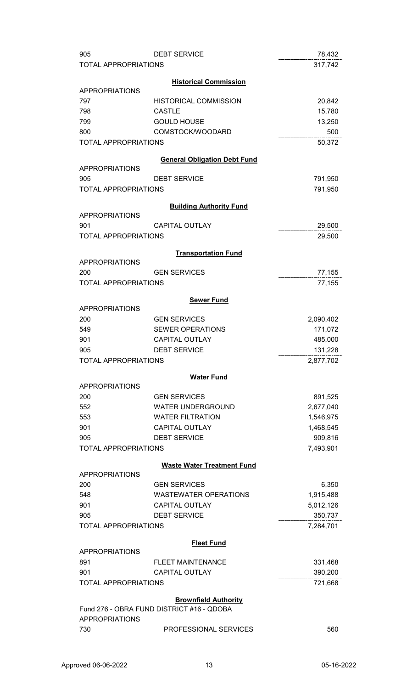| 905                         | <b>DEBT SERVICE</b>                       | 78,432    |
|-----------------------------|-------------------------------------------|-----------|
| <b>TOTAL APPROPRIATIONS</b> |                                           | 317,742   |
|                             |                                           |           |
|                             | <b>Historical Commission</b>              |           |
| <b>APPROPRIATIONS</b>       |                                           |           |
| 797                         | <b>HISTORICAL COMMISSION</b>              | 20,842    |
| 798                         | <b>CASTLE</b>                             | 15,780    |
| 799                         | <b>GOULD HOUSE</b>                        | 13,250    |
| 800                         | COMSTOCK/WOODARD                          | 500       |
| <b>TOTAL APPROPRIATIONS</b> |                                           | 50,372    |
|                             | <b>General Obligation Debt Fund</b>       |           |
| <b>APPROPRIATIONS</b>       |                                           |           |
| 905                         | <b>DEBT SERVICE</b>                       | 791,950   |
| <b>TOTAL APPROPRIATIONS</b> |                                           | 791,950   |
|                             |                                           |           |
|                             | <b>Building Authority Fund</b>            |           |
| <b>APPROPRIATIONS</b>       |                                           |           |
| 901                         | <b>CAPITAL OUTLAY</b>                     | 29,500    |
| <b>TOTAL APPROPRIATIONS</b> |                                           | 29,500    |
|                             | <b>Transportation Fund</b>                |           |
| <b>APPROPRIATIONS</b>       |                                           |           |
| 200                         | <b>GEN SERVICES</b>                       | 77,155    |
| <b>TOTAL APPROPRIATIONS</b> |                                           | 77,155    |
|                             |                                           |           |
|                             | <b>Sewer Fund</b>                         |           |
| <b>APPROPRIATIONS</b>       |                                           |           |
| 200                         | <b>GEN SERVICES</b>                       | 2,090,402 |
| 549                         | <b>SEWER OPERATIONS</b>                   | 171,072   |
| 901                         | <b>CAPITAL OUTLAY</b>                     | 485,000   |
| 905                         | <b>DEBT SERVICE</b>                       | 131,228   |
| <b>TOTAL APPROPRIATIONS</b> |                                           | 2,877,702 |
|                             | <b>Water Fund</b>                         |           |
| <b>APPROPRIATIONS</b>       |                                           |           |
| 200                         | <b>GEN SERVICES</b>                       | 891,525   |
| 552                         | <b>WATER UNDERGROUND</b>                  | 2,677,040 |
| 553                         | <b>WATER FILTRATION</b>                   | 1,546,975 |
| 901                         | CAPITAL OUTLAY                            | 1,468,545 |
| 905                         | <b>DEBT SERVICE</b>                       | 909,816   |
| <b>TOTAL APPROPRIATIONS</b> |                                           | 7,493,901 |
|                             |                                           |           |
|                             | <b>Waste Water Treatment Fund</b>         |           |
| <b>APPROPRIATIONS</b>       |                                           |           |
| 200                         | <b>GEN SERVICES</b>                       | 6,350     |
| 548                         | <b>WASTEWATER OPERATIONS</b>              | 1,915,488 |
| 901                         | <b>CAPITAL OUTLAY</b>                     | 5,012,126 |
| 905                         | <b>DEBT SERVICE</b>                       | 350,737   |
| <b>TOTAL APPROPRIATIONS</b> |                                           | 7,284,701 |
|                             | <b>Fleet Fund</b>                         |           |
| <b>APPROPRIATIONS</b>       |                                           |           |
| 891                         | <b>FLEET MAINTENANCE</b>                  | 331,468   |
| 901                         | <b>CAPITAL OUTLAY</b>                     | 390,200   |
| <b>TOTAL APPROPRIATIONS</b> |                                           | 721,668   |
|                             |                                           |           |
|                             | <b>Brownfield Authority</b>               |           |
|                             | Fund 276 - OBRA FUND DISTRICT #16 - QDOBA |           |
| <b>APPROPRIATIONS</b>       |                                           |           |
| 730                         | PROFESSIONAL SERVICES                     | 560       |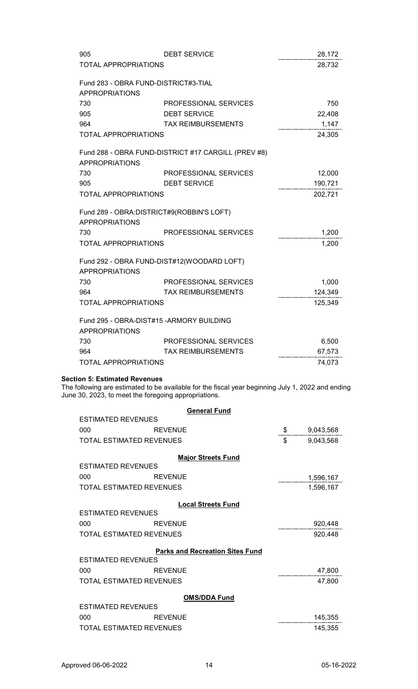| 905                                        | <b>DEBT SERVICE</b>                                 | 28,172  |
|--------------------------------------------|-----------------------------------------------------|---------|
| <b>TOTAL APPROPRIATIONS</b>                |                                                     | 28,732  |
| Fund 283 - OBRA FUND-DISTRICT#3-TIAL       |                                                     |         |
| <b>APPROPRIATIONS</b>                      |                                                     |         |
| 730                                        | PROFESSIONAL SERVICES                               | 750     |
| 905                                        | <b>DEBT SERVICE</b>                                 | 22,408  |
| 964                                        | <b>TAX REIMBURSEMENTS</b>                           | 1,147   |
| <b>TOTAL APPROPRIATIONS</b>                |                                                     | 24,305  |
|                                            | Fund 288 - OBRA FUND-DISTRICT #17 CARGILL (PREV #8) |         |
| <b>APPROPRIATIONS</b>                      |                                                     |         |
| 730                                        | PROFESSIONAL SERVICES                               | 12,000  |
| 905                                        | <b>DEBT SERVICE</b>                                 | 190,721 |
| <b>TOTAL APPROPRIATIONS</b>                |                                                     | 202,721 |
| Fund 289 - OBRA: DISTRICT#9(ROBBIN'S LOFT) |                                                     |         |
| <b>APPROPRIATIONS</b>                      |                                                     |         |
| 730                                        | PROFESSIONAL SERVICES                               | 1,200   |
| <b>TOTAL APPROPRIATIONS</b>                |                                                     | 1,200   |
|                                            | Fund 292 - OBRA FUND-DIST#12(WOODARD LOFT)          |         |
| <b>APPROPRIATIONS</b>                      |                                                     |         |
| 730                                        | <b>PROFESSIONAL SERVICES</b>                        | 1,000   |
| 964                                        | <b>TAX REIMBURSEMENTS</b>                           | 124,349 |
| <b>TOTAL APPROPRIATIONS</b>                |                                                     | 125,349 |
| Fund 295 - OBRA-DIST#15 - ARMORY BUILDING  |                                                     |         |
| <b>APPROPRIATIONS</b>                      |                                                     |         |
| 730                                        | PROFESSIONAL SERVICES                               | 6,500   |
| 964                                        | <b>TAX REIMBURSEMENTS</b>                           | 67,573  |
| <b>TOTAL APPROPRIATIONS</b>                |                                                     | 74,073  |

# **Section 5: Estimated Revenues**

The following are estimated to be available for the fiscal year beginning July 1, 2022 and ending June 30, 2023, to meet the foregoing appropriations.

|                           |                                 | <b>General Fund</b>                    |                 |
|---------------------------|---------------------------------|----------------------------------------|-----------------|
| <b>ESTIMATED REVENUES</b> |                                 |                                        |                 |
| 000                       | <b>REVENUE</b>                  |                                        | \$<br>9,043,568 |
|                           | <b>TOTAL ESTIMATED REVENUES</b> |                                        | \$<br>9,043,568 |
|                           |                                 | <b>Major Streets Fund</b>              |                 |
| ESTIMATED REVENUES        |                                 |                                        |                 |
| 000                       | <b>REVENUE</b>                  |                                        | 1,596,167       |
|                           | TOTAL ESTIMATED REVENUES        |                                        | 1,596,167       |
|                           |                                 |                                        |                 |
| <b>ESTIMATED REVENUES</b> |                                 | <b>Local Streets Fund</b>              |                 |
|                           |                                 |                                        |                 |
| 000                       | <b>REVENUE</b>                  |                                        | 920,448         |
|                           | TOTAL ESTIMATED REVENUES        |                                        | 920,448         |
|                           |                                 | <b>Parks and Recreation Sites Fund</b> |                 |
| <b>ESTIMATED REVENUES</b> |                                 |                                        |                 |
| 000                       | <b>REVENUE</b>                  |                                        | 47,800          |
|                           | TOTAL ESTIMATED REVENUES        |                                        | 47,800          |
|                           |                                 |                                        |                 |
| <b>ESTIMATED REVENUES</b> |                                 | <b>OMS/DDA Fund</b>                    |                 |
| 000                       | <b>REVENUE</b>                  |                                        | 145,355         |
|                           |                                 |                                        |                 |
|                           | TOTAL ESTIMATED REVENUES        |                                        | 145,355         |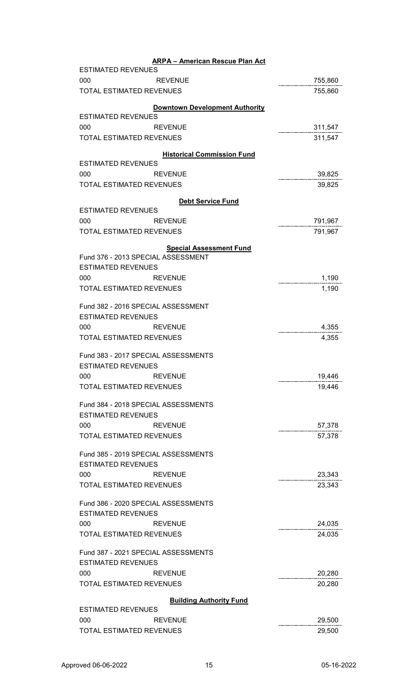| <b>ARPA - American Rescue Plan Act</b>                   |                    |
|----------------------------------------------------------|--------------------|
| <b>ESTIMATED REVENUES</b><br><b>REVENUE</b><br>000       | 755,860            |
| <b>TOTAL ESTIMATED REVENUES</b>                          | 755,860            |
|                                                          |                    |
| <b>Downtown Development Authority</b>                    |                    |
| <b>ESTIMATED REVENUES</b>                                |                    |
| 000<br><b>REVENUE</b><br><b>TOTAL ESTIMATED REVENUES</b> | 311,547<br>311,547 |
|                                                          |                    |
| <b>Historical Commission Fund</b>                        |                    |
| <b>ESTIMATED REVENUES</b>                                |                    |
| 000<br><b>REVENUE</b>                                    | 39,825             |
| <b>TOTAL ESTIMATED REVENUES</b>                          | 39,825             |
| <b>Debt Service Fund</b>                                 |                    |
| <b>ESTIMATED REVENUES</b>                                |                    |
| 000<br><b>REVENUE</b>                                    | 791,967            |
| <b>TOTAL ESTIMATED REVENUES</b>                          | 791,967            |
| <b>Special Assessment Fund</b>                           |                    |
| Fund 376 - 2013 SPECIAL ASSESSMENT                       |                    |
| <b>ESTIMATED REVENUES</b>                                |                    |
| 000<br><b>REVENUE</b>                                    | 1,190              |
| <b>TOTAL ESTIMATED REVENUES</b>                          | 1,190              |
| Fund 382 - 2016 SPECIAL ASSESSMENT                       |                    |
| <b>ESTIMATED REVENUES</b>                                |                    |
| 000<br><b>REVENUE</b>                                    | 4,355              |
| <b>TOTAL ESTIMATED REVENUES</b>                          | 4,355              |
|                                                          |                    |
| Fund 383 - 2017 SPECIAL ASSESSMENTS                      |                    |
| <b>ESTIMATED REVENUES</b>                                |                    |
| 000<br><b>REVENUE</b>                                    | 19,446             |
| <b>TOTAL ESTIMATED REVENUES</b>                          | 19,446             |
| Fund 384 - 2018 SPECIAL ASSESSMENTS                      |                    |
| <b>ESTIMATED REVENUES</b>                                |                    |
| 000<br><b>REVENUE</b>                                    | 57,378             |
| <b>TOTAL ESTIMATED REVENUES</b>                          | 57,378             |
|                                                          |                    |
| Fund 385 - 2019 SPECIAL ASSESSMENTS                      |                    |
| <b>ESTIMATED REVENUES</b>                                |                    |
| 000<br><b>REVENUE</b>                                    | 23,343             |
| <b>TOTAL ESTIMATED REVENUES</b>                          | 23,343             |
| Fund 386 - 2020 SPECIAL ASSESSMENTS                      |                    |
| <b>ESTIMATED REVENUES</b>                                |                    |
| 000<br><b>REVENUE</b>                                    | 24,035             |
| <b>TOTAL ESTIMATED REVENUES</b>                          | 24,035             |
|                                                          |                    |
| Fund 387 - 2021 SPECIAL ASSESSMENTS                      |                    |
| <b>ESTIMATED REVENUES</b>                                |                    |
| 000<br><b>REVENUE</b>                                    | 20,280             |
| <b>TOTAL ESTIMATED REVENUES</b>                          | 20,280             |
| <b>Building Authority Fund</b>                           |                    |
| <b>ESTIMATED REVENUES</b>                                |                    |
| 000<br><b>REVENUE</b>                                    | 29,500             |
| <b>TOTAL ESTIMATED REVENUES</b>                          | 29,500             |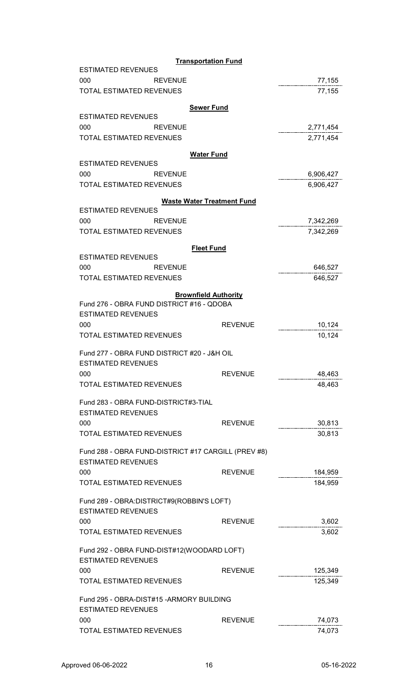|                                                     | Transportation Fund               |           |  |
|-----------------------------------------------------|-----------------------------------|-----------|--|
| <b>ESTIMATED REVENUES</b><br>000<br><b>REVENUE</b>  |                                   | 77,155    |  |
| <b>TOTAL ESTIMATED REVENUES</b>                     |                                   | 77,155    |  |
|                                                     |                                   |           |  |
| <b>ESTIMATED REVENUES</b>                           | <b>Sewer Fund</b>                 |           |  |
| 000<br><b>REVENUE</b>                               |                                   | 2,771,454 |  |
| <b>TOTAL ESTIMATED REVENUES</b>                     |                                   | 2,771,454 |  |
|                                                     |                                   |           |  |
| <b>ESTIMATED REVENUES</b>                           | <b>Water Fund</b>                 |           |  |
| 000<br><b>REVENUE</b>                               |                                   | 6,906,427 |  |
| <b>TOTAL ESTIMATED REVENUES</b>                     |                                   | 6,906,427 |  |
|                                                     | <b>Waste Water Treatment Fund</b> |           |  |
| <b>ESTIMATED REVENUES</b>                           |                                   |           |  |
| 000<br><b>REVENUE</b>                               |                                   | 7,342,269 |  |
| <b>TOTAL ESTIMATED REVENUES</b>                     |                                   | 7,342,269 |  |
|                                                     | <b>Fleet Fund</b>                 |           |  |
| <b>ESTIMATED REVENUES</b>                           |                                   |           |  |
| 000<br><b>REVENUE</b>                               |                                   | 646,527   |  |
| <b>TOTAL ESTIMATED REVENUES</b>                     |                                   | 646,527   |  |
|                                                     | <b>Brownfield Authority</b>       |           |  |
| Fund 276 - OBRA FUND DISTRICT #16 - QDOBA           |                                   |           |  |
| <b>ESTIMATED REVENUES</b>                           |                                   |           |  |
| 000                                                 | <b>REVENUE</b>                    | 10,124    |  |
| <b>TOTAL ESTIMATED REVENUES</b>                     |                                   | 10,124    |  |
| Fund 277 - OBRA FUND DISTRICT #20 - J&H OIL         |                                   |           |  |
| <b>ESTIMATED REVENUES</b>                           |                                   |           |  |
| 000                                                 | <b>REVENUE</b>                    | 48,463    |  |
| <b>TOTAL ESTIMATED REVENUES</b>                     |                                   | 48,463    |  |
| Fund 283 - OBRA FUND-DISTRICT#3-TIAL                |                                   |           |  |
| <b>ESTIMATED REVENUES</b>                           |                                   |           |  |
| 000                                                 | <b>REVENUE</b>                    | 30,813    |  |
| <b>TOTAL ESTIMATED REVENUES</b>                     |                                   | 30,813    |  |
| Fund 288 - OBRA FUND-DISTRICT #17 CARGILL (PREV #8) |                                   |           |  |
| <b>ESTIMATED REVENUES</b>                           |                                   |           |  |
| 000                                                 | <b>REVENUE</b>                    | 184,959   |  |
| <b>TOTAL ESTIMATED REVENUES</b>                     |                                   | 184,959   |  |
| Fund 289 - OBRA: DISTRICT#9(ROBBIN'S LOFT)          |                                   |           |  |
| <b>ESTIMATED REVENUES</b>                           |                                   |           |  |
| 000                                                 | <b>REVENUE</b>                    | 3,602     |  |
| <b>TOTAL ESTIMATED REVENUES</b>                     |                                   | 3,602     |  |
| Fund 292 - OBRA FUND-DIST#12(WOODARD LOFT)          |                                   |           |  |
| <b>ESTIMATED REVENUES</b>                           |                                   |           |  |
| 000                                                 | <b>REVENUE</b>                    | 125,349   |  |
| <b>TOTAL ESTIMATED REVENUES</b>                     |                                   | 125,349   |  |
| Fund 295 - OBRA-DIST#15 - ARMORY BUILDING           |                                   |           |  |
| <b>ESTIMATED REVENUES</b>                           |                                   |           |  |
| 000                                                 | <b>REVENUE</b>                    | 74,073    |  |
| <b>TOTAL ESTIMATED REVENUES</b>                     |                                   | 74,073    |  |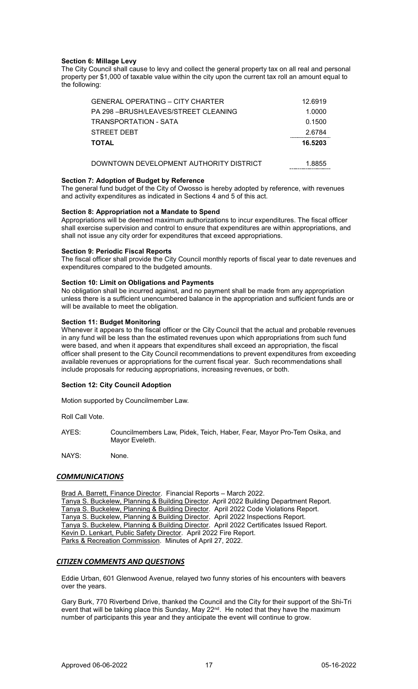# **Section 6: Millage Levy**

The City Council shall cause to levy and collect the general property tax on all real and personal property per \$1,000 of taxable value within the city upon the current tax roll an amount equal to the following:

| <b>GENERAL OPERATING - CITY CHARTER</b> | 12.6919 |
|-----------------------------------------|---------|
| PA 298 - BRUSH/LEAVES/STREET CLEANING   | 1.0000  |
| TRANSPORTATION - SATA                   | 0.1500  |
| STREET DEBT                             | 2.6784  |
| <b>TOTAL</b>                            | 16.5203 |
| DOWNTOWN DEVELOPMENT AUTHORITY DISTRICT | 1.8855  |

### **Section 7: Adoption of Budget by Reference**

The general fund budget of the City of Owosso is hereby adopted by reference, with revenues and activity expenditures as indicated in Sections 4 and 5 of this act.

# **Section 8: Appropriation not a Mandate to Spend**

Appropriations will be deemed maximum authorizations to incur expenditures. The fiscal officer shall exercise supervision and control to ensure that expenditures are within appropriations, and shall not issue any city order for expenditures that exceed appropriations.

### **Section 9: Periodic Fiscal Reports**

The fiscal officer shall provide the City Council monthly reports of fiscal year to date revenues and expenditures compared to the budgeted amounts.

# **Section 10: Limit on Obligations and Payments**

No obligation shall be incurred against, and no payment shall be made from any appropriation unless there is a sufficient unencumbered balance in the appropriation and sufficient funds are or will be available to meet the obligation.

# **Section 11: Budget Monitoring**

Whenever it appears to the fiscal officer or the City Council that the actual and probable revenues in any fund will be less than the estimated revenues upon which appropriations from such fund were based, and when it appears that expenditures shall exceed an appropriation, the fiscal officer shall present to the City Council recommendations to prevent expenditures from exceeding available revenues or appropriations for the current fiscal year. Such recommendations shall include proposals for reducing appropriations, increasing revenues, or both.

# **Section 12: City Council Adoption**

Motion supported by Councilmember Law.

Roll Call Vote.

AYES: Councilmembers Law, Pidek, Teich, Haber, Fear, Mayor Pro-Tem Osika, and Mayor Eveleth.

NAYS: None.

# *COMMUNICATIONS*

Brad A. Barrett, Finance Director. Financial Reports – March 2022. Tanya S. Buckelew, Planning & Building Director. April 2022 Building Department Report. Tanya S. Buckelew, Planning & Building Director. April 2022 Code Violations Report. Tanya S. Buckelew, Planning & Building Director. April 2022 Inspections Report. Tanya S. Buckelew, Planning & Building Director. April 2022 Certificates Issued Report. Kevin D. Lenkart, Public Safety Director. April 2022 Fire Report. Parks & Recreation Commission. Minutes of April 27, 2022.

# *CITIZEN COMMENTS AND QUESTIONS*

Eddie Urban, 601 Glenwood Avenue, relayed two funny stories of his encounters with beavers over the years.

Gary Burk, 770 Riverbend Drive, thanked the Council and the City for their support of the Shi-Tri event that will be taking place this Sunday, May 22<sup>nd</sup>. He noted that they have the maximum number of participants this year and they anticipate the event will continue to grow.